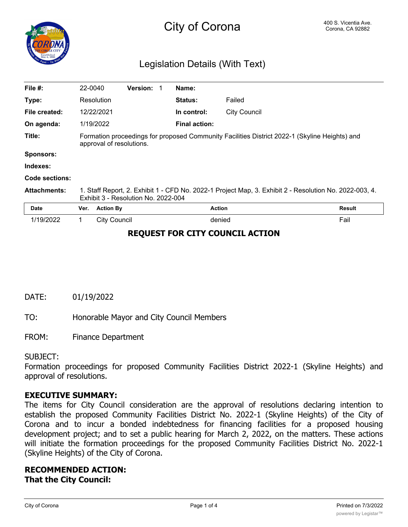

# City of Corona **Corona Corona** Corona, CA 92882

## Legislation Details (With Text)

| File #:             | 22-0040                                                                                                                                       |                     | Version: 1 |  | Name:                |                     |               |
|---------------------|-----------------------------------------------------------------------------------------------------------------------------------------------|---------------------|------------|--|----------------------|---------------------|---------------|
| Type:               |                                                                                                                                               | Resolution          |            |  | <b>Status:</b>       | Failed              |               |
| File created:       |                                                                                                                                               | 12/22/2021          |            |  | In control:          | <b>City Council</b> |               |
| On agenda:          |                                                                                                                                               | 1/19/2022           |            |  | <b>Final action:</b> |                     |               |
| Title:              | Formation proceedings for proposed Community Facilities District 2022-1 (Skyline Heights) and<br>approval of resolutions.                     |                     |            |  |                      |                     |               |
| <b>Sponsors:</b>    |                                                                                                                                               |                     |            |  |                      |                     |               |
| Indexes:            |                                                                                                                                               |                     |            |  |                      |                     |               |
| Code sections:      |                                                                                                                                               |                     |            |  |                      |                     |               |
| <b>Attachments:</b> | 1. Staff Report, 2. Exhibit 1 - CFD No. 2022-1 Project Map, 3. Exhibit 2 - Resolution No. 2022-003, 4.<br>Exhibit 3 - Resolution No. 2022-004 |                     |            |  |                      |                     |               |
| Date                | Ver.                                                                                                                                          | <b>Action By</b>    |            |  |                      | <b>Action</b>       | <b>Result</b> |
| 1/19/2022           | 1                                                                                                                                             | <b>City Council</b> |            |  |                      | denied              | Fail          |

## **REQUEST FOR CITY COUNCIL ACTION**

DATE: 01/19/2022

TO: Honorable Mayor and City Council Members

FROM: Finance Department

#### SUBJECT:

Formation proceedings for proposed Community Facilities District 2022-1 (Skyline Heights) and approval of resolutions.

#### **EXECUTIVE SUMMARY:**

The items for City Council consideration are the approval of resolutions declaring intention to establish the proposed Community Facilities District No. 2022-1 (Skyline Heights) of the City of Corona and to incur a bonded indebtedness for financing facilities for a proposed housing development project; and to set a public hearing for March 2, 2022, on the matters. These actions will initiate the formation proceedings for the proposed Community Facilities District No. 2022-1 (Skyline Heights) of the City of Corona.

## **RECOMMENDED ACTION: That the City Council:**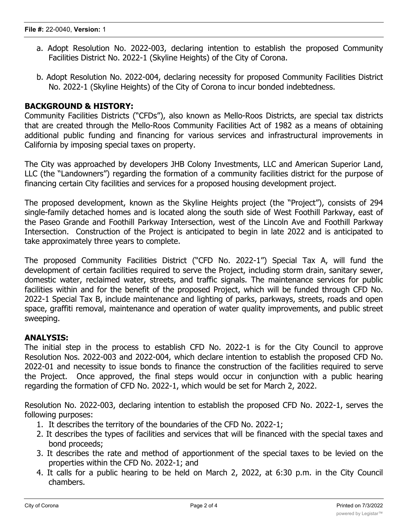- a. Adopt Resolution No. 2022-003, declaring intention to establish the proposed Community Facilities District No. 2022-1 (Skyline Heights) of the City of Corona.
- b. Adopt Resolution No. 2022-004, declaring necessity for proposed Community Facilities District No. 2022-1 (Skyline Heights) of the City of Corona to incur bonded indebtedness.

## **BACKGROUND & HISTORY:**

Community Facilities Districts ("CFDs"), also known as Mello-Roos Districts, are special tax districts that are created through the Mello-Roos Community Facilities Act of 1982 as a means of obtaining additional public funding and financing for various services and infrastructural improvements in California by imposing special taxes on property.

The City was approached by developers JHB Colony Investments, LLC and American Superior Land, LLC (the "Landowners") regarding the formation of a community facilities district for the purpose of financing certain City facilities and services for a proposed housing development project.

The proposed development, known as the Skyline Heights project (the "Project"), consists of 294 single-family detached homes and is located along the south side of West Foothill Parkway, east of the Paseo Grande and Foothill Parkway Intersection, west of the Lincoln Ave and Foothill Parkway Intersection. Construction of the Project is anticipated to begin in late 2022 and is anticipated to take approximately three years to complete.

The proposed Community Facilities District ("CFD No. 2022-1") Special Tax A, will fund the development of certain facilities required to serve the Project, including storm drain, sanitary sewer, domestic water, reclaimed water, streets, and traffic signals. The maintenance services for public facilities within and for the benefit of the proposed Project, which will be funded through CFD No. 2022-1 Special Tax B, include maintenance and lighting of parks, parkways, streets, roads and open space, graffiti removal, maintenance and operation of water quality improvements, and public street sweeping.

## **ANALYSIS:**

The initial step in the process to establish CFD No. 2022-1 is for the City Council to approve Resolution Nos. 2022-003 and 2022-004, which declare intention to establish the proposed CFD No. 2022-01 and necessity to issue bonds to finance the construction of the facilities required to serve the Project. Once approved, the final steps would occur in conjunction with a public hearing regarding the formation of CFD No. 2022-1, which would be set for March 2, 2022.

Resolution No. 2022-003, declaring intention to establish the proposed CFD No. 2022-1, serves the following purposes:

- 1. It describes the territory of the boundaries of the CFD No. 2022-1;
- 2. It describes the types of facilities and services that will be financed with the special taxes and bond proceeds;
- 3. It describes the rate and method of apportionment of the special taxes to be levied on the properties within the CFD No. 2022-1; and
- 4. It calls for a public hearing to be held on March 2, 2022, at 6:30 p.m. in the City Council chambers.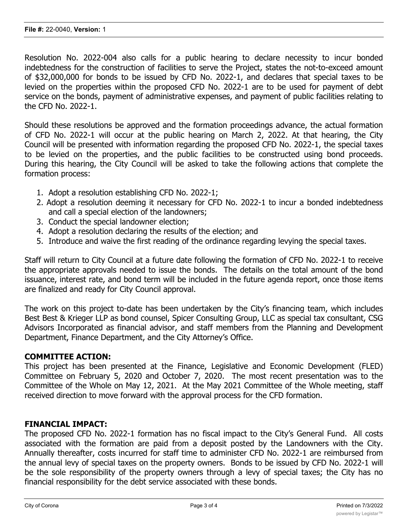Resolution No. 2022-004 also calls for a public hearing to declare necessity to incur bonded indebtedness for the construction of facilities to serve the Project, states the not-to-exceed amount of \$32,000,000 for bonds to be issued by CFD No. 2022-1, and declares that special taxes to be levied on the properties within the proposed CFD No. 2022-1 are to be used for payment of debt service on the bonds, payment of administrative expenses, and payment of public facilities relating to the CFD No. 2022-1.

Should these resolutions be approved and the formation proceedings advance, the actual formation of CFD No. 2022-1 will occur at the public hearing on March 2, 2022. At that hearing, the City Council will be presented with information regarding the proposed CFD No. 2022-1, the special taxes to be levied on the properties, and the public facilities to be constructed using bond proceeds. During this hearing, the City Council will be asked to take the following actions that complete the formation process:

- 1. Adopt a resolution establishing CFD No. 2022-1;
- 2. Adopt a resolution deeming it necessary for CFD No. 2022-1 to incur a bonded indebtedness and call a special election of the landowners;
- 3. Conduct the special landowner election;
- 4. Adopt a resolution declaring the results of the election; and
- 5. Introduce and waive the first reading of the ordinance regarding levying the special taxes.

Staff will return to City Council at a future date following the formation of CFD No. 2022-1 to receive the appropriate approvals needed to issue the bonds. The details on the total amount of the bond issuance, interest rate, and bond term will be included in the future agenda report, once those items are finalized and ready for City Council approval.

The work on this project to-date has been undertaken by the City's financing team, which includes Best Best & Krieger LLP as bond counsel, Spicer Consulting Group, LLC as special tax consultant, CSG Advisors Incorporated as financial advisor, and staff members from the Planning and Development Department, Finance Department, and the City Attorney's Office.

## **COMMITTEE ACTION:**

This project has been presented at the Finance, Legislative and Economic Development (FLED) Committee on February 5, 2020 and October 7, 2020. The most recent presentation was to the Committee of the Whole on May 12, 2021. At the May 2021 Committee of the Whole meeting, staff received direction to move forward with the approval process for the CFD formation.

## **FINANCIAL IMPACT:**

The proposed CFD No. 2022-1 formation has no fiscal impact to the City's General Fund. All costs associated with the formation are paid from a deposit posted by the Landowners with the City. Annually thereafter, costs incurred for staff time to administer CFD No. 2022-1 are reimbursed from the annual levy of special taxes on the property owners. Bonds to be issued by CFD No. 2022-1 will be the sole responsibility of the property owners through a levy of special taxes; the City has no financial responsibility for the debt service associated with these bonds.